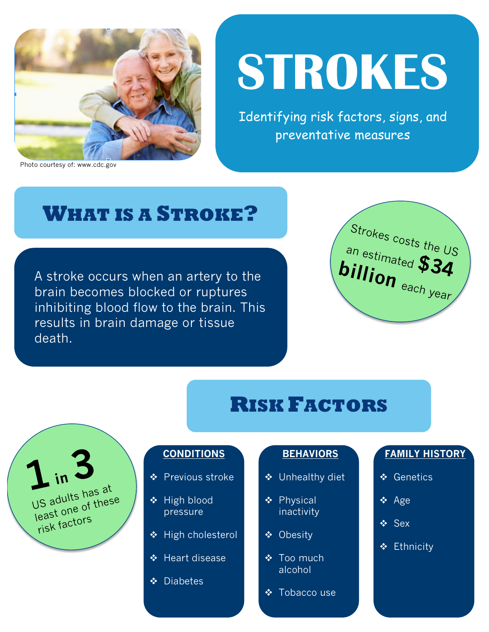

#### Photo courtesy of: www.cdc.gov

# **STROKES**

Identifying risk factors, signs, and preventative measures

### **WHAT IS A STROKE?**

A stroke occurs when an artery to the brain becomes blocked or ruptures inhibiting blood flow to the brain. This results in brain damage or tissue death.



### **RISK FACTORS**



#### **CONDITIONS**

- ❖ Previous stroke
- $\triangleleft$  High blood pressure
- ◆ High cholesterol
- ◆ Heart disease
- ❖ Diabetes

### **BEHAVIORS**

- ◆ Unhealthy diet
- ❖ Physical inactivity
- ❖ Obesity
- ❖ Too much alcohol
- ❖ Tobacco use

#### **FAMILY HISTORY**

- v Genetics
- $\div$  Age
- v Sex
- **❖** Ethnicity